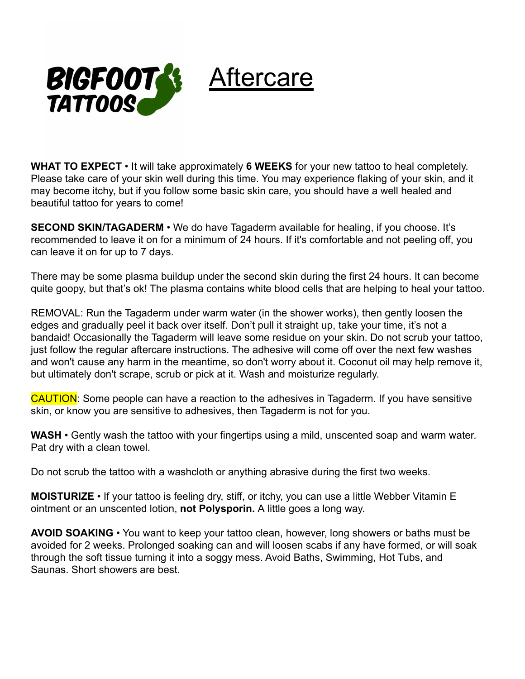

## Aftercare

**WHAT TO EXPECT** • It will take approximately **6 WEEKS** for your new tattoo to heal completely. Please take care of your skin well during this time. You may experience flaking of your skin, and it may become itchy, but if you follow some basic skin care, you should have a well healed and beautiful tattoo for years to come!

**SECOND SKIN/TAGADERM** • We do have Tagaderm available for healing, if you choose. It's recommended to leave it on for a minimum of 24 hours. If it's comfortable and not peeling off, you can leave it on for up to 7 days.

There may be some plasma buildup under the second skin during the first 24 hours. It can become quite goopy, but that's ok! The plasma contains white blood cells that are helping to heal your tattoo.

REMOVAL: Run the Tagaderm under warm water (in the shower works), then gently loosen the edges and gradually peel it back over itself. Don't pull it straight up, take your time, it's not a bandaid! Occasionally the Tagaderm will leave some residue on your skin. Do not scrub your tattoo, just follow the regular aftercare instructions. The adhesive will come off over the next few washes and won't cause any harm in the meantime, so don't worry about it. Coconut oil may help remove it, but ultimately don't scrape, scrub or pick at it. Wash and moisturize regularly.

CAUTION: Some people can have a reaction to the adhesives in Tagaderm. If you have sensitive skin, or know you are sensitive to adhesives, then Tagaderm is not for you.

**WASH** • Gently wash the tattoo with your fingertips using a mild, unscented soap and warm water. Pat dry with a clean towel.

Do not scrub the tattoo with a washcloth or anything abrasive during the first two weeks.

**MOISTURIZE** • If your tattoo is feeling dry, stiff, or itchy, you can use a little Webber Vitamin E ointment or an unscented lotion, **not Polysporin.** A little goes a long way.

**AVOID SOAKING** • You want to keep your tattoo clean, however, long showers or baths must be avoided for 2 weeks. Prolonged soaking can and will loosen scabs if any have formed, or will soak through the soft tissue turning it into a soggy mess. Avoid Baths, Swimming, Hot Tubs, and Saunas. Short showers are best.